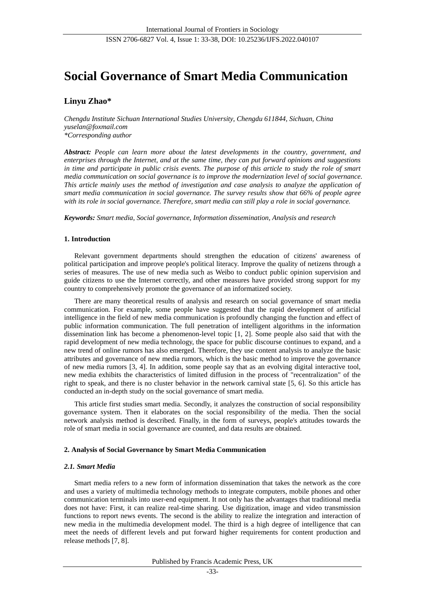# **Social Governance of Smart Media Communication**

## **Linyu Zhao\***

*Chengdu Institute Sichuan International Studies University, Chengdu 611844, Sichuan, China yuselan@foxmail.com \*Corresponding author*

*Abstract: People can learn more about the latest developments in the country, government, and enterprises through the Internet, and at the same time, they can put forward opinions and suggestions in time and participate in public crisis events. The purpose of this article to study the role of smart media communication on social governance is to improve the modernization level of social governance. This article mainly uses the method of investigation and case analysis to analyze the application of smart media communication in social governance. The survey results show that 66% of people agree with its role in social governance. Therefore, smart media can still play a role in social governance.*

*Keywords: Smart media, Social governance, Information dissemination, Analysis and research*

## **1. Introduction**

Relevant government departments should strengthen the education of citizens' awareness of political participation and improve people's political literacy. Improve the quality of netizens through a series of measures. The use of new media such as Weibo to conduct public opinion supervision and guide citizens to use the Internet correctly, and other measures have provided strong support for my country to comprehensively promote the governance of an informatized society.

There are many theoretical results of analysis and research on social governance of smart media communication. For example, some people have suggested that the rapid development of artificial intelligence in the field of new media communication is profoundly changing the function and effect of public information communication. The full penetration of intelligent algorithms in the information dissemination link has become a phenomenon-level topic [1, 2]. Some people also said that with the rapid development of new media technology, the space for public discourse continues to expand, and a new trend of online rumors has also emerged. Therefore, they use content analysis to analyze the basic attributes and governance of new media rumors, which is the basic method to improve the governance of new media rumors [3, 4]. In addition, some people say that as an evolving digital interactive tool, new media exhibits the characteristics of limited diffusion in the process of "recentralization" of the right to speak, and there is no cluster behavior in the network carnival state [5, 6]. So this article has conducted an in-depth study on the social governance of smart media.

This article first studies smart media. Secondly, it analyzes the construction of social responsibility governance system. Then it elaborates on the social responsibility of the media. Then the social network analysis method is described. Finally, in the form of surveys, people's attitudes towards the role of smart media in social governance are counted, and data results are obtained.

## **2. Analysis of Social Governance by Smart Media Communication**

## *2.1. Smart Media*

Smart media refers to a new form of information dissemination that takes the network as the core and uses a variety of multimedia technology methods to integrate computers, mobile phones and other communication terminals into user-end equipment. It not only has the advantages that traditional media does not have: First, it can realize real-time sharing. Use digitization, image and video transmission functions to report news events. The second is the ability to realize the integration and interaction of new media in the multimedia development model. The third is a high degree of intelligence that can meet the needs of different levels and put forward higher requirements for content production and release methods [7, 8].

Published by Francis Academic Press, UK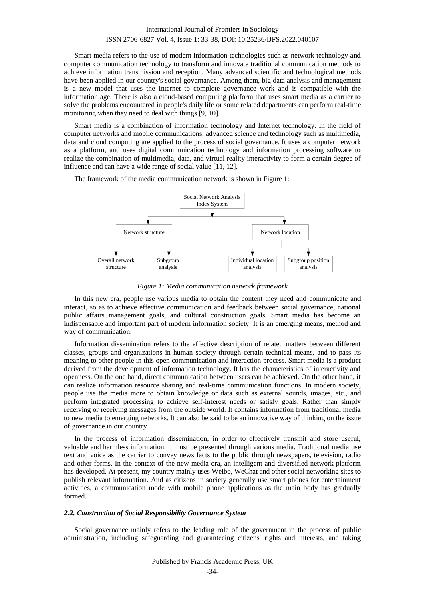Smart media refers to the use of modern information technologies such as network technology and computer communication technology to transform and innovate traditional communication methods to achieve information transmission and reception. Many advanced scientific and technological methods have been applied in our country's social governance. Among them, big data analysis and management is a new model that uses the Internet to complete governance work and is compatible with the information age. There is also a cloud-based computing platform that uses smart media as a carrier to solve the problems encountered in people's daily life or some related departments can perform real-time monitoring when they need to deal with things [9, 10].

Smart media is a combination of information technology and Internet technology. In the field of computer networks and mobile communications, advanced science and technology such as multimedia, data and cloud computing are applied to the process of social governance. It uses a computer network as a platform, and uses digital communication technology and information processing software to realize the combination of multimedia, data, and virtual reality interactivity to form a certain degree of influence and can have a wide range of social value [11, 12].

The framework of the media communication network is shown in Figure 1:



*Figure 1: Media communication network framework*

In this new era, people use various media to obtain the content they need and communicate and interact, so as to achieve effective communication and feedback between social governance, national public affairs management goals, and cultural construction goals. Smart media has become an indispensable and important part of modern information society. It is an emerging means, method and way of communication.

Information dissemination refers to the effective description of related matters between different classes, groups and organizations in human society through certain technical means, and to pass its meaning to other people in this open communication and interaction process. Smart media is a product derived from the development of information technology. It has the characteristics of interactivity and openness. On the one hand, direct communication between users can be achieved. On the other hand, it can realize information resource sharing and real-time communication functions. In modern society, people use the media more to obtain knowledge or data such as external sounds, images, etc., and perform integrated processing to achieve self-interest needs or satisfy goals. Rather than simply receiving or receiving messages from the outside world. It contains information from traditional media to new media to emerging networks. It can also be said to be an innovative way of thinking on the issue of governance in our country.

In the process of information dissemination, in order to effectively transmit and store useful, valuable and harmless information, it must be presented through various media. Traditional media use text and voice as the carrier to convey news facts to the public through newspapers, television, radio and other forms. In the context of the new media era, an intelligent and diversified network platform has developed. At present, my country mainly uses Weibo, WeChat and other social networking sites to publish relevant information. And as citizens in society generally use smart phones for entertainment activities, a communication mode with mobile phone applications as the main body has gradually formed.

#### *2.2. Construction of Social Responsibility Governance System*

Social governance mainly refers to the leading role of the government in the process of public administration, including safeguarding and guaranteeing citizens' rights and interests, and taking

Published by Francis Academic Press, UK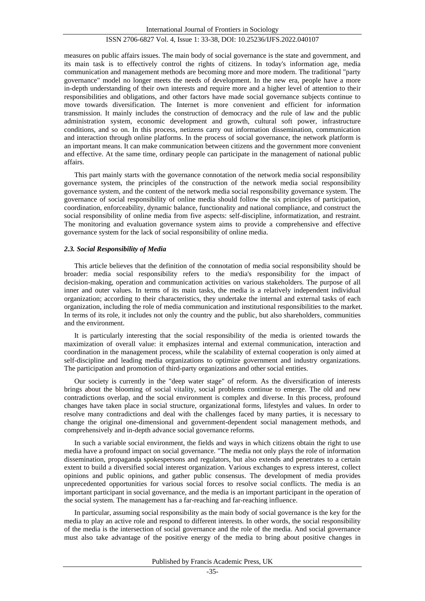measures on public affairs issues. The main body of social governance is the state and government, and its main task is to effectively control the rights of citizens. In today's information age, media communication and management methods are becoming more and more modern. The traditional "party governance" model no longer meets the needs of development. In the new era, people have a more in-depth understanding of their own interests and require more and a higher level of attention to their responsibilities and obligations, and other factors have made social governance subjects continue to move towards diversification. The Internet is more convenient and efficient for information transmission. It mainly includes the construction of democracy and the rule of law and the public administration system, economic development and growth, cultural soft power, infrastructure conditions, and so on. In this process, netizens carry out information dissemination, communication and interaction through online platforms. In the process of social governance, the network platform is an important means. It can make communication between citizens and the government more convenient and effective. At the same time, ordinary people can participate in the management of national public affairs.

This part mainly starts with the governance connotation of the network media social responsibility governance system, the principles of the construction of the network media social responsibility governance system, and the content of the network media social responsibility governance system. The governance of social responsibility of online media should follow the six principles of participation, coordination, enforceability, dynamic balance, functionality and national compliance, and construct the social responsibility of online media from five aspects: self-discipline, informatization, and restraint. The monitoring and evaluation governance system aims to provide a comprehensive and effective governance system for the lack of social responsibility of online media.

## *2.3. Social Responsibility of Media*

This article believes that the definition of the connotation of media social responsibility should be broader: media social responsibility refers to the media's responsibility for the impact of decision-making, operation and communication activities on various stakeholders. The purpose of all inner and outer values. In terms of its main tasks, the media is a relatively independent individual organization; according to their characteristics, they undertake the internal and external tasks of each organization, including the role of media communication and institutional responsibilities to the market. In terms of its role, it includes not only the country and the public, but also shareholders, communities and the environment.

It is particularly interesting that the social responsibility of the media is oriented towards the maximization of overall value: it emphasizes internal and external communication, interaction and coordination in the management process, while the scalability of external cooperation is only aimed at self-discipline and leading media organizations to optimize government and industry organizations. The participation and promotion of third-party organizations and other social entities.

Our society is currently in the "deep water stage" of reform. As the diversification of interests brings about the blooming of social vitality, social problems continue to emerge. The old and new contradictions overlap, and the social environment is complex and diverse. In this process, profound changes have taken place in social structure, organizational forms, lifestyles and values. In order to resolve many contradictions and deal with the challenges faced by many parties, it is necessary to change the original one-dimensional and government-dependent social management methods, and comprehensively and in-depth advance social governance reforms.

In such a variable social environment, the fields and ways in which citizens obtain the right to use media have a profound impact on social governance. "The media not only plays the role of information dissemination, propaganda spokespersons and regulators, but also extends and penetrates to a certain extent to build a diversified social interest organization. Various exchanges to express interest, collect opinions and public opinions, and gather public consensus. The development of media provides unprecedented opportunities for various social forces to resolve social conflicts. The media is an important participant in social governance, and the media is an important participant in the operation of the social system. The management has a far-reaching and far-reaching influence.

In particular, assuming social responsibility as the main body of social governance is the key for the media to play an active role and respond to different interests. In other words, the social responsibility of the media is the intersection of social governance and the role of the media. And social governance must also take advantage of the positive energy of the media to bring about positive changes in

Published by Francis Academic Press, UK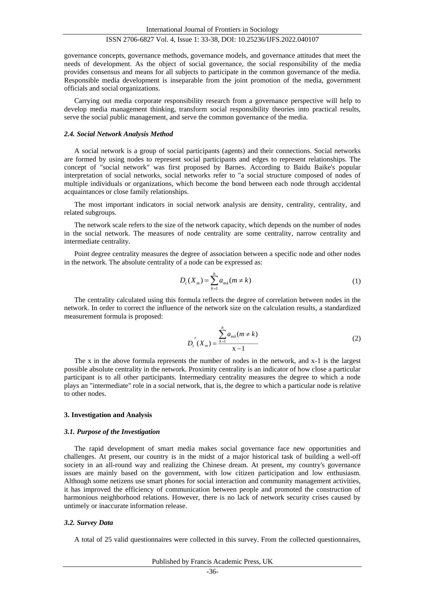governance concepts, governance methods, governance models, and governance attitudes that meet the needs of development. As the object of social governance, the social responsibility of the media provides consensus and means for all subjects to participate in the common governance of the media. Responsible media development is inseparable from the joint promotion of the media, government officials and social organizations.

Carrying out media corporate responsibility research from a governance perspective will help to develop media management thinking, transform social responsibility theories into practical results, serve the social public management, and serve the common governance of the media.

#### *2.4. Social Network Analysis Method*

A social network is a group of social participants (agents) and their connections. Social networks are formed by using nodes to represent social participants and edges to represent relationships. The concept of "social network" was first proposed by Barnes. According to Baidu Baike's popular interpretation of social networks, social networks refer to "a social structure composed of nodes of multiple individuals or organizations, which become the bond between each node through accidental acquaintances or close family relationships.

The most important indicators in social network analysis are density, centrality, centrality, and related subgroups.

The network scale refers to the size of the network capacity, which depends on the number of nodes in the social network. The measures of node centrality are some centrality, narrow centrality and intermediate centrality.

Point degree centrality measures the degree of association between a specific node and other nodes in the network. The absolute centrality of a node can be expressed as:

$$
D_{c}(X_{m}) = \sum_{k=1}^{h} a_{mk}(m \neq k)
$$
\n(1)

The centrality calculated using this formula reflects the degree of correlation between nodes in the network. In order to correct the influence of the network size on the calculation results, a standardized measurement formula is proposed:

$$
D_{c}^{'}(X_{m}) = \frac{\sum_{k=1}^{h} a_{mk}(m \neq k)}{x - 1}
$$
 (2)

The x in the above formula represents the number of nodes in the network, and x-1 is the largest possible absolute centrality in the network. Proximity centrality is an indicator of how close a particular participant is to all other participants. Intermediary centrality measures the degree to which a node plays an "intermediate" role in a social network, that is, the degree to which a particular node is relative to other nodes.

#### **3. Investigation and Analysis**

#### *3.1. Purpose of the Investigation*

The rapid development of smart media makes social governance face new opportunities and challenges. At present, our country is in the midst of a major historical task of building a well-off society in an all-round way and realizing the Chinese dream. At present, my country's governance issues are mainly based on the government, with low citizen participation and low enthusiasm. Although some netizens use smart phones for social interaction and community management activities, it has improved the efficiency of communication between people and promoted the construction of harmonious neighborhood relations. However, there is no lack of network security crises caused by untimely or inaccurate information release.

#### *3.2. Survey Data*

A total of 25 valid questionnaires were collected in this survey. From the collected questionnaires,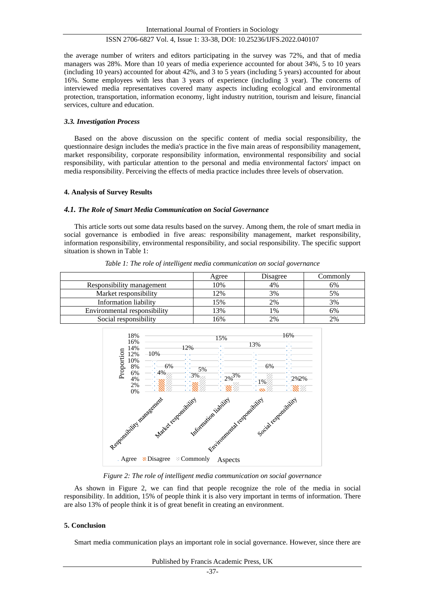the average number of writers and editors participating in the survey was 72%, and that of media managers was 28%. More than 10 years of media experience accounted for about 34%, 5 to 10 years (including 10 years) accounted for about 42%, and 3 to 5 years (including 5 years) accounted for about 16%. Some employees with less than 3 years of experience (including 3 year). The concerns of interviewed media representatives covered many aspects including ecological and environmental protection, transportation, information economy, light industry nutrition, tourism and leisure, financial services, culture and education.

#### *3.3. Investigation Process*

Based on the above discussion on the specific content of media social responsibility, the questionnaire design includes the media's practice in the five main areas of responsibility management, market responsibility, corporate responsibility information, environmental responsibility and social responsibility, with particular attention to the personal and media environmental factors' impact on media responsibility. Perceiving the effects of media practice includes three levels of observation.

#### **4. Analysis of Survey Results**

#### *4.1. The Role of Smart Media Communication on Social Governance*

This article sorts out some data results based on the survey. Among them, the role of smart media in social governance is embodied in five areas: responsibility management, market responsibility, information responsibility, environmental responsibility, and social responsibility. The specific support situation is shown in Table 1:

|                              | Agree | Disagree      | Commonly |
|------------------------------|-------|---------------|----------|
| Responsibility management    | 10%   | 4%            | 6%       |
| Market responsibility        | 12%   | 3%            | 5%       |
| Information liability        | 15%   | 2%            | 3%       |
| Environmental responsibility | 13%   | $\frac{0}{6}$ | 6%       |
| Social responsibility        | 16%   | 2%            | 2%       |

*Table 1: The role of intelligent media communication on social governance*



*Figure 2: The role of intelligent media communication on social governance*

As shown in Figure 2, we can find that people recognize the role of the media in social responsibility. In addition, 15% of people think it is also very important in terms of information. There are also 13% of people think it is of great benefit in creating an environment.

#### **5. Conclusion**

Smart media communication plays an important role in social governance. However, since there are